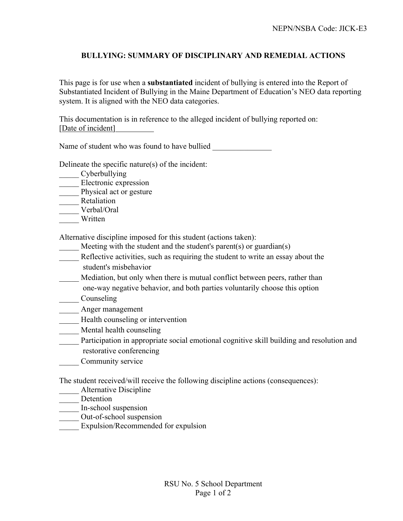## **BULLYING: SUMMARY OF DISCIPLINARY AND REMEDIAL ACTIONS**

This page is for use when a **substantiated** incident of bullying is entered into the Report of Substantiated Incident of Bullying in the Maine Department of Education's NEO data reporting system. It is aligned with the NEO data categories.

This documentation is in reference to the alleged incident of bullying reported on: [Date of incident]

Name of student who was found to have bullied

Delineate the specific nature(s) of the incident:

- Cyberbullying
- \_\_\_\_\_ Electronic expression
- Physical act or gesture
- \_\_\_\_\_ Retaliation
- \_\_\_\_\_ Verbal/Oral
- \_\_\_\_\_ Written

Alternative discipline imposed for this student (actions taken):

- Meeting with the student and the student's parent(s) or guardian(s)
- Reflective activities, such as requiring the student to write an essay about the student's misbehavior
- Mediation, but only when there is mutual conflict between peers, rather than one-way negative behavior, and both parties voluntarily choose this option
- \_\_\_\_\_ Counseling
- \_\_\_\_\_ Anger management
- Health counseling or intervention
- Mental health counseling
- Participation in appropriate social emotional cognitive skill building and resolution and restorative conferencing
- \_\_\_\_\_ Community service

The student received/will receive the following discipline actions (consequences):

- Alternative Discipline
- Detention
- \_\_\_\_\_ In-school suspension
- \_\_\_\_\_ Out-of-school suspension
- Expulsion/Recommended for expulsion